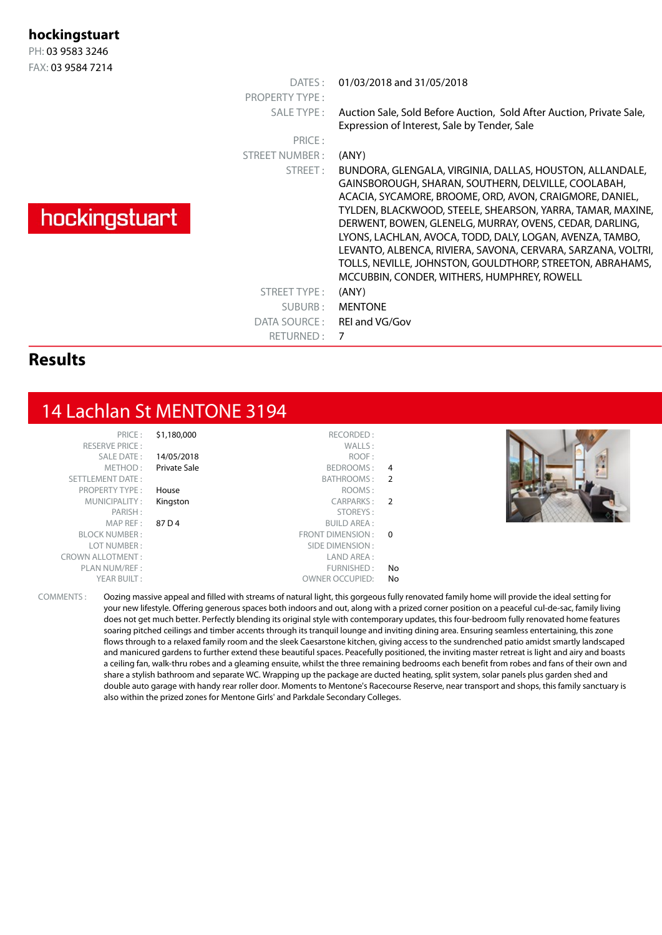#### **hockingstuart**

PH: 03 9583 3246 FAX: 03 9584 7214

| $1 \cap \land \ldots \cup J \cup J \cup T$ / $\vdash$ 1 T |                       |                                                                                                                                                                                                                                                                                                                                                                                                                                                                                                                                             |
|-----------------------------------------------------------|-----------------------|---------------------------------------------------------------------------------------------------------------------------------------------------------------------------------------------------------------------------------------------------------------------------------------------------------------------------------------------------------------------------------------------------------------------------------------------------------------------------------------------------------------------------------------------|
|                                                           | DATES:                | 01/03/2018 and 31/05/2018                                                                                                                                                                                                                                                                                                                                                                                                                                                                                                                   |
|                                                           | <b>PROPERTY TYPE:</b> |                                                                                                                                                                                                                                                                                                                                                                                                                                                                                                                                             |
|                                                           | SALE TYPE:            | Auction Sale, Sold Before Auction, Sold After Auction, Private Sale,<br>Expression of Interest, Sale by Tender, Sale                                                                                                                                                                                                                                                                                                                                                                                                                        |
|                                                           | PRICE:                |                                                                                                                                                                                                                                                                                                                                                                                                                                                                                                                                             |
|                                                           | <b>STREET NUMBER:</b> | (ANY)                                                                                                                                                                                                                                                                                                                                                                                                                                                                                                                                       |
| hockingstuart                                             | STREET:               | BUNDORA, GLENGALA, VIRGINIA, DALLAS, HOUSTON, ALLANDALE,<br>GAINSBOROUGH, SHARAN, SOUTHERN, DELVILLE, COOLABAH,<br>ACACIA, SYCAMORE, BROOME, ORD, AVON, CRAIGMORE, DANIEL,<br>TYLDEN, BLACKWOOD, STEELE, SHEARSON, YARRA, TAMAR, MAXINE,<br>DERWENT, BOWEN, GLENELG, MURRAY, OVENS, CEDAR, DARLING,<br>LYONS, LACHLAN, AVOCA, TODD, DALY, LOGAN, AVENZA, TAMBO,<br>LEVANTO, ALBENCA, RIVIERA, SAVONA, CERVARA, SARZANA, VOLTRI,<br>TOLLS, NEVILLE, JOHNSTON, GOULDTHORP, STREETON, ABRAHAMS,<br>MCCUBBIN, CONDER, WITHERS, HUMPHREY, ROWELL |
|                                                           | STREET TYPE:          | (ANY)                                                                                                                                                                                                                                                                                                                                                                                                                                                                                                                                       |
|                                                           | SUBURB:               | <b>MENTONE</b>                                                                                                                                                                                                                                                                                                                                                                                                                                                                                                                              |
|                                                           | DATA SOURCE :         | REI and VG/Gov                                                                                                                                                                                                                                                                                                                                                                                                                                                                                                                              |
|                                                           | RETURNED: 7           |                                                                                                                                                                                                                                                                                                                                                                                                                                                                                                                                             |
| . .                                                       |                       |                                                                                                                                                                                                                                                                                                                                                                                                                                                                                                                                             |

#### **Results**

### 14 Lachlan St MENTONE 3194

| PRICE:                  | \$1,180,000  | RECORDED:               |                |
|-------------------------|--------------|-------------------------|----------------|
| <b>RESERVE PRICE:</b>   |              | WALLS:                  |                |
| <b>SALE DATE:</b>       | 14/05/2018   | ROOF:                   |                |
| METHOD:                 | Private Sale | BEDROOMS:               | 4              |
| <b>SETTLEMENT DATE:</b> |              | BATHROOMS:              | $\overline{2}$ |
| <b>PROPERTY TYPE:</b>   | House        | ROOMS:                  |                |
| MUNICIPALITY:           | Kingston     | CARPARKS:               | $\overline{2}$ |
| PARISH:                 |              | STOREYS:                |                |
| MAP REF:                | 87 D 4       | <b>BUILD AREA:</b>      |                |
| <b>BLOCK NUMBER:</b>    |              | <b>FRONT DIMENSION:</b> | $\Omega$       |
| LOT NUMBER:             |              | SIDE DIMENSION:         |                |
| <b>CROWN ALLOTMENT:</b> |              | LAND AREA :             |                |
| PLAN NUM/REF :          |              | FURNISHED:              | No             |
| YEAR BUILT:             |              | <b>OWNER OCCUPIED:</b>  | No             |



COMMENTS : Oozing massive appeal and filled with streams of natural light, this gorgeous fully renovated family home will provide the ideal setting for your new lifestyle. Offering generous spaces both indoors and out, along with a prized corner position on a peaceful cul-de-sac, family living does not get much better. Perfectly blending its original style with contemporary updates, this four-bedroom fully renovated home features soaring pitched ceilings and timber accents through its tranquil lounge and inviting dining area. Ensuring seamless entertaining, this zone flows through to a relaxed family room and the sleek Caesarstone kitchen, giving access to the sundrenched patio amidst smartly landscaped and manicured gardens to further extend these beautiful spaces. Peacefully positioned, the inviting master retreat is light and airy and boasts a ceiling fan, walk-thru robes and a gleaming ensuite, whilst the three remaining bedrooms each benefit from robes and fans of their own and share a stylish bathroom and separate WC. Wrapping up the package are ducted heating, split system, solar panels plus garden shed and double auto garage with handy rear roller door. Moments to Mentone's Racecourse Reserve, near transport and shops, this family sanctuary is also within the prized zones for Mentone Girls' and Parkdale Secondary Colleges.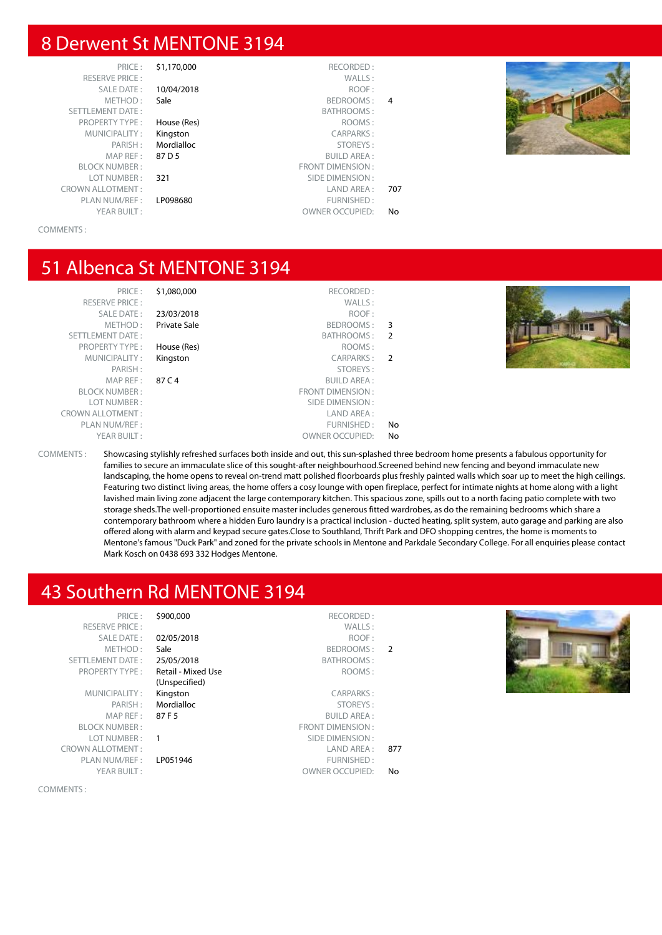#### 8 Derwent St MENTONE 3194

RESERVE PRICE : SALE DATE : 10/04/2018 METHOD: Sale SETTLEMENT DATE: PROPERTY TYPE : House (Res) MUNICIPALITY : Kingston PARISH: Mordialloc BI OCK NUMBER : LOT NUMBER: 321 CROWN ALLOTMENT :<br>PLAN NUM/REF : LP098680 PLAN NUM/REF :<br>YEAR BUILT :

# PRICE : \$1,170,000 RECORDED :  $MAP REF: 87 D 5$ <br>NIJMBER :

| 707 |
|-----|
|     |
| N٥  |
|     |



COMMENTS :

#### 51 Albenca St MENTONE 3194

|               | RECORDED:               | \$1,080,000         | PRICE:                  |
|---------------|-------------------------|---------------------|-------------------------|
|               | WALLS:                  |                     | <b>RESERVE PRICE:</b>   |
|               | ROOF:                   | 23/03/2018          | SALE DATE:              |
| 3             | BEDROOMS:               | <b>Private Sale</b> | METHOD:                 |
| $\mathcal{P}$ | BATHROOMS:              |                     | <b>SETTLEMENT DATE:</b> |
|               | ROOMS:                  | House (Res)         | <b>PROPERTY TYPE:</b>   |
| $\mathcal{P}$ | CARPARKS:               | Kingston            | MUNICIPALITY:           |
|               | STOREYS:                |                     | PARISH:                 |
|               | <b>BUILD AREA:</b>      | 87 C 4              | MAP REF:                |
|               | <b>FRONT DIMENSION:</b> |                     | <b>BLOCK NUMBER:</b>    |
|               | SIDE DIMENSION:         |                     | LOT NUMBER:             |
|               | LAND AREA:              |                     | <b>CROWN ALLOTMENT:</b> |
| No            | FURNISHED:              |                     | PLAN NUM/REF:           |
| No            | <b>OWNER OCCUPIED:</b>  |                     | YEAR BUILT:             |

|                | RECORDED:               | \$1,080,000  | PRICE:              |
|----------------|-------------------------|--------------|---------------------|
|                | WALLS:                  |              | <b>ERVE PRICE:</b>  |
|                | ROOF:                   | 23/03/2018   | <b>SALE DATE:</b>   |
| 3              | BEDROOMS:               | Private Sale | METHOD:             |
| $\overline{2}$ | BATHROOMS:              |              | MENT DATE:          |
|                | ROOMS:                  | House (Res)  | PERTY TYPE:         |
| $\overline{2}$ | <b>CARPARKS:</b>        | Kingston     | <b>INICIPALITY:</b> |
|                | STOREYS:                |              | PARISH:             |
|                | <b>BUILD AREA:</b>      | 87 C 4       | MAP REF:            |
|                | <b>FRONT DIMENSION:</b> |              | EK NUMBER :         |
|                | SIDE DIMENSION :        |              | OT NUMBER :         |
|                | LAND AREA:              |              | LLOTMENT:           |
| No             | FURNISHED:              |              | N NUM/REF :         |
| No             | <b>OWNER OCCUPIED:</b>  |              | YEAR BUILT:         |
|                |                         |              |                     |



COMMENTS : Showcasing stylishly refreshed surfaces both inside and out, this sun-splashed three bedroom home presents a fabulous opportunity for families to secure an immaculate slice of this sought-after neighbourhood.Screened behind new fencing and beyond immaculate new landscaping, the home opens to reveal on-trend matt polished floorboards plus freshly painted walls which soar up to meet the high ceilings. Featuring two distinct living areas, the home offers a cosy lounge with open fireplace, perfect for intimate nights at home along with a light lavished main living zone adjacent the large contemporary kitchen. This spacious zone, spills out to a north facing patio complete with two storage sheds.The well-proportioned ensuite master includes generous fitted wardrobes, as do the remaining bedrooms which share a contemporary bathroom where a hidden Euro laundry is a practical inclusion - ducted heating, split system, auto garage and parking are also offered along with alarm and keypad secure gates.Close to Southland, Thrift Park and DFO shopping centres, the home is moments to Mentone's famous "Duck Park" and zoned for the private schools in Mentone and Parkdale Secondary College. For all enquiries please contact Mark Kosch on 0438 693 332 Hodges Mentone.

#### 43 Southern Rd MENTONE 3194

| PRICE:                  | \$900,000          | RECORDED:              |                |  |
|-------------------------|--------------------|------------------------|----------------|--|
| <b>RESERVE PRICE:</b>   |                    | WALLS:                 |                |  |
| SALE DATE:              | 02/05/2018         | ROOF:                  |                |  |
| METHOD:                 | Sale               | BEDROOMS:              | $\overline{2}$ |  |
| <b>SETTLEMENT DATE:</b> | 25/05/2018         | BATHROOMS:             |                |  |
| <b>PROPERTY TYPE:</b>   | Retail - Mixed Use | ROOMS:                 |                |  |
|                         | (Unspecified)      |                        |                |  |
| MUNICIPALITY:           | Kingston           | CARPARKS:              |                |  |
| PARISH:                 | Mordialloc         | STOREYS:               |                |  |
| MAP REF :               | 87 F 5             | <b>BUILD AREA:</b>     |                |  |
| <b>BLOCK NUMBER:</b>    |                    | FRONT DIMENSION:       |                |  |
| LOT NUMBER:             |                    | SIDE DIMENSION :       |                |  |
| <b>CROWN ALLOTMENT:</b> |                    | LAND AREA :            | 877            |  |
| PLAN NUM/REF:           | LP051946           | FURNISHED:             |                |  |
| YEAR BUILT:             |                    | <b>OWNER OCCUPIED:</b> | No             |  |
|                         |                    |                        |                |  |

COMMENTS :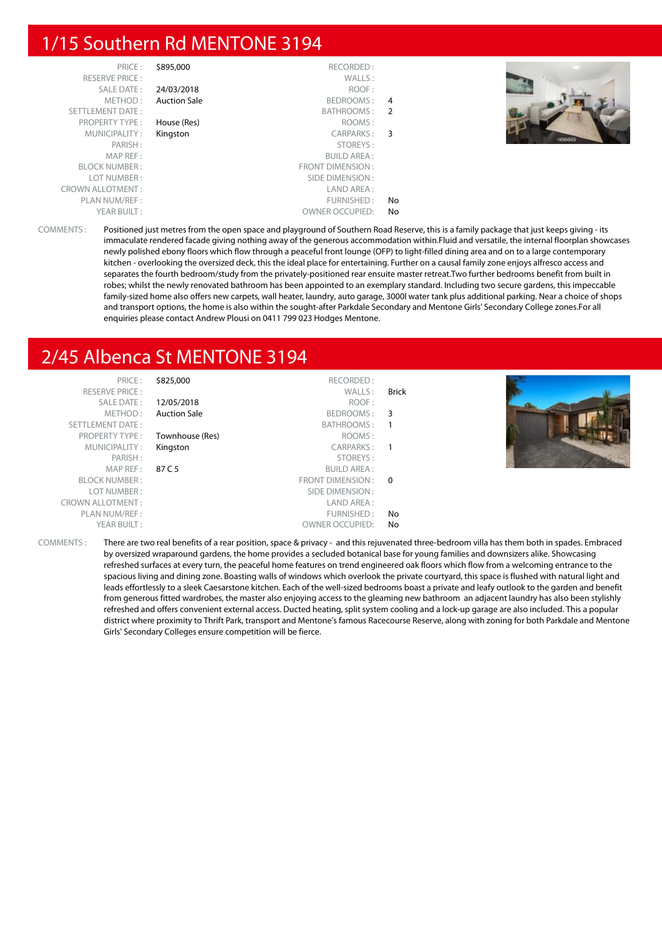#### 1/15 Southern Rd MENTONE 3194

| PRICE:                  | \$895,000           | RECORDED:               |    |  |
|-------------------------|---------------------|-------------------------|----|--|
| <b>RESERVE PRICE:</b>   |                     | WALLS:                  |    |  |
| SALE DATE:              | 24/03/2018          | ROOF:                   |    |  |
| METHOD:                 | <b>Auction Sale</b> | BEDROOMS:               | 4  |  |
| <b>SETTLEMENT DATE:</b> |                     | BATHROOMS:              | 2  |  |
| <b>PROPERTY TYPE:</b>   | House (Res)         | ROOMS:                  |    |  |
| MUNICIPALITY:           | Kingston            | CARPARKS:               | 3  |  |
| PARISH:                 |                     | STOREYS:                |    |  |
| MAP REF:                |                     | <b>BUILD AREA:</b>      |    |  |
| <b>BLOCK NUMBER:</b>    |                     | <b>FRONT DIMENSION:</b> |    |  |
| LOT NUMBER:             |                     | SIDE DIMENSION:         |    |  |
| <b>CROWN ALLOTMENT:</b> |                     | LAND AREA:              |    |  |
| PLAN NUM/REF:           |                     | FURNISHED:              | No |  |
| YEAR BUILT:             |                     | <b>OWNER OCCUPIED:</b>  | No |  |



COMMENTS : Positioned just metres from the open space and playground of Southern Road Reserve, this is a family package that just keeps giving - its immaculate rendered facade giving nothing away of the generous accommodation within.Fluid and versatile, the internal floorplan showcases newly polished ebony floors which flow through a peaceful front lounge (OFP) to light-filled dining area and on to a large contemporary kitchen - overlooking the oversized deck, this the ideal place for entertaining. Further on a causal family zone enjoys alfresco access and separates the fourth bedroom/study from the privately-positioned rear ensuite master retreat.Two further bedrooms benefit from built in robes; whilst the newly renovated bathroom has been appointed to an exemplary standard. Including two secure gardens, this impeccable family-sized home also offers new carpets, wall heater, laundry, auto garage, 3000l water tank plus additional parking. Near a choice of shops and transport options, the home is also within the sought-after Parkdale Secondary and Mentone Girls' Secondary College zones.For all enquiries please contact Andrew Plousi on 0411 799 023 Hodges Mentone.

## 2/45 Albenca St MENTONE 3194

| PRICE:                  | \$825,000           | RECORDED:              |              |  |
|-------------------------|---------------------|------------------------|--------------|--|
| <b>RESERVE PRICE:</b>   |                     | WALLS:                 | <b>Brick</b> |  |
| SALE DATE:              | 12/05/2018          | ROOF:                  |              |  |
| METHOD:                 | <b>Auction Sale</b> | BEDROOMS:              | 3            |  |
| SETTLEMENT DATE:        |                     | BATHROOMS:             | $\mathbf{1}$ |  |
| <b>PROPERTY TYPE:</b>   | Townhouse (Res)     | ROOMS:                 |              |  |
| MUNICIPALITY:           | Kingston            | CARPARKS:              | -1           |  |
| PARISH:                 |                     | STOREYS:               |              |  |
| MAP REF:                | 87 C 5              | BUILD AREA :           |              |  |
| <b>BLOCK NUMBER:</b>    |                     | FRONT DIMENSION:       | $\Omega$     |  |
| LOT NUMBER:             |                     | SIDE DIMENSION :       |              |  |
| <b>CROWN ALLOTMENT:</b> |                     | LAND AREA:             |              |  |
| PLAN NUM/REF:           |                     | FURNISHED:             | No           |  |
| YEAR BUILT:             |                     | <b>OWNER OCCUPIED:</b> | No           |  |
|                         |                     |                        |              |  |



COMMENTS : There are two real benefits of a rear position, space & privacy - and this rejuvenated three-bedroom villa has them both in spades. Embraced by oversized wraparound gardens, the home provides a secluded botanical base for young families and downsizers alike. Showcasing refreshed surfaces at every turn, the peaceful home features on trend engineered oak floors which flow from a welcoming entrance to the spacious living and dining zone. Boasting walls of windows which overlook the private courtyard, this space is flushed with natural light and leads effortlessly to a sleek Caesarstone kitchen. Each of the well-sized bedrooms boast a private and leafy outlook to the garden and benefit from generous fitted wardrobes, the master also enjoying access to the gleaming new bathroom an adjacent laundry has also been stylishly refreshed and offers convenient external access. Ducted heating, split system cooling and a lock-up garage are also included. This a popular district where proximity to Thrift Park, transport and Mentone's famous Racecourse Reserve, along with zoning for both Parkdale and Mentone Girls' Secondary Colleges ensure competition will be fierce.